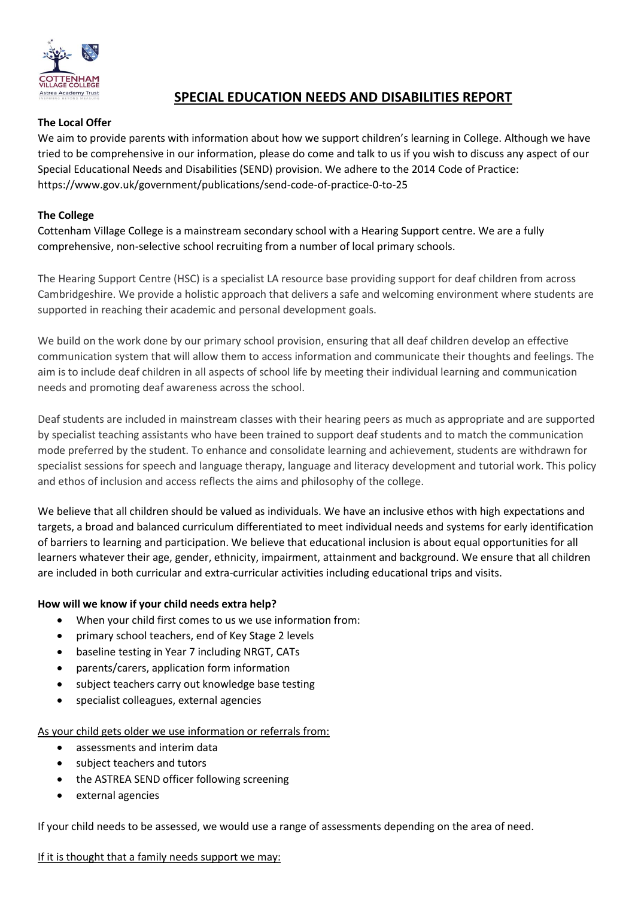

# **SPECIAL EDUCATION NEEDS AND DISABILITIES REPORT**

# **The Local Offer**

We aim to provide parents with information about how we support children's learning in College. Although we have tried to be comprehensive in our information, please do come and talk to us if you wish to discuss any aspect of our Special Educational Needs and Disabilities (SEND) provision. We adhere to the 2014 Code of Practice: https://www.gov.uk/government/publications/send-code-of-practice-0-to-25

## **The College**

Cottenham Village College is a mainstream secondary school with a Hearing Support centre. We are a fully comprehensive, non-selective school recruiting from a number of local primary schools.

The Hearing Support Centre (HSC) is a specialist LA resource base providing support for deaf children from across Cambridgeshire. We provide a holistic approach that delivers a safe and welcoming environment where students are supported in reaching their academic and personal development goals.

We build on the work done by our primary school provision, ensuring that all deaf children develop an effective communication system that will allow them to access information and communicate their thoughts and feelings. The aim is to include deaf children in all aspects of school life by meeting their individual learning and communication needs and promoting deaf awareness across the school.

Deaf students are included in mainstream classes with their hearing peers as much as appropriate and are supported by specialist teaching assistants who have been trained to support deaf students and to match the communication mode preferred by the student. To enhance and consolidate learning and achievement, students are withdrawn for specialist sessions for speech and language therapy, language and literacy development and tutorial work. This policy and ethos of inclusion and access reflects the aims and philosophy of the college.

We believe that all children should be valued as individuals. We have an inclusive ethos with high expectations and targets, a broad and balanced curriculum differentiated to meet individual needs and systems for early identification of barriers to learning and participation. We believe that educational inclusion is about equal opportunities for all learners whatever their age, gender, ethnicity, impairment, attainment and background. We ensure that all children are included in both curricular and extra-curricular activities including educational trips and visits.

#### **How will we know if your child needs extra help?**

- When your child first comes to us we use information from:
- primary school teachers, end of Key Stage 2 levels
- baseline testing in Year 7 including NRGT, CATs
- parents/carers, application form information
- subject teachers carry out knowledge base testing
- specialist colleagues, external agencies

## As your child gets older we use information or referrals from:

- assessments and interim data
- subject teachers and tutors
- the ASTREA SEND officer following screening
- external agencies

If your child needs to be assessed, we would use a range of assessments depending on the area of need.

If it is thought that a family needs support we may: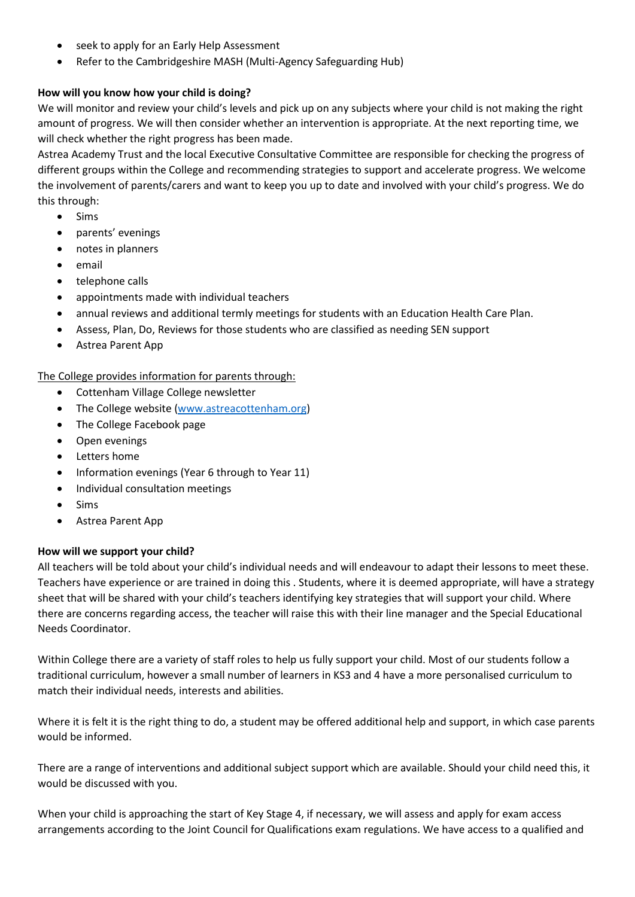- seek to apply for an Early Help Assessment
- Refer to the Cambridgeshire MASH (Multi-Agency Safeguarding Hub)

# **How will you know how your child is doing?**

We will monitor and review your child's levels and pick up on any subjects where your child is not making the right amount of progress. We will then consider whether an intervention is appropriate. At the next reporting time, we will check whether the right progress has been made.

Astrea Academy Trust and the local Executive Consultative Committee are responsible for checking the progress of different groups within the College and recommending strategies to support and accelerate progress. We welcome the involvement of parents/carers and want to keep you up to date and involved with your child's progress. We do this through:

- Sims
- parents' evenings
- notes in planners
- email
- telephone calls
- appointments made with individual teachers
- annual reviews and additional termly meetings for students with an Education Health Care Plan.
- Assess, Plan, Do, Reviews for those students who are classified as needing SEN support
- Astrea Parent App

# The College provides information for parents through:

- Cottenham Village College newsletter
- The College website [\(www.astreacottenham.org\)](http://www.astreacottenham.org/)
- The College Facebook page
- Open evenings
- Letters home
- Information evenings (Year 6 through to Year 11)
- Individual consultation meetings
- Sims
- Astrea Parent App

## **How will we support your child?**

All teachers will be told about your child's individual needs and will endeavour to adapt their lessons to meet these. Teachers have experience or are trained in doing this . Students, where it is deemed appropriate, will have a strategy sheet that will be shared with your child's teachers identifying key strategies that will support your child. Where there are concerns regarding access, the teacher will raise this with their line manager and the Special Educational Needs Coordinator.

Within College there are a variety of staff roles to help us fully support your child. Most of our students follow a traditional curriculum, however a small number of learners in KS3 and 4 have a more personalised curriculum to match their individual needs, interests and abilities.

Where it is felt it is the right thing to do, a student may be offered additional help and support, in which case parents would be informed.

There are a range of interventions and additional subject support which are available. Should your child need this, it would be discussed with you.

When your child is approaching the start of Key Stage 4, if necessary, we will assess and apply for exam access arrangements according to the Joint Council for Qualifications exam regulations. We have access to a qualified and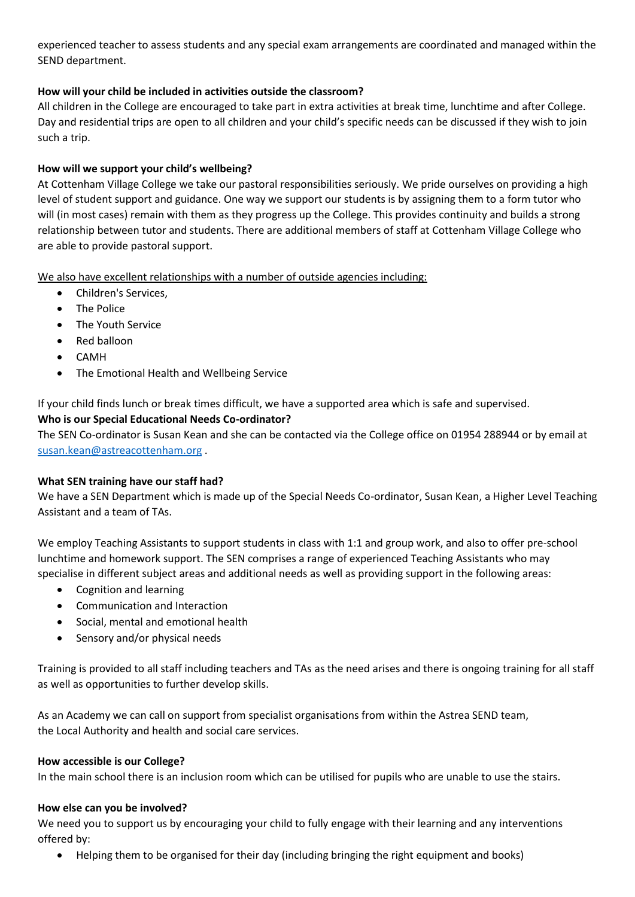experienced teacher to assess students and any special exam arrangements are coordinated and managed within the SEND department.

# **How will your child be included in activities outside the classroom?**

All children in the College are encouraged to take part in extra activities at break time, lunchtime and after College. Day and residential trips are open to all children and your child's specific needs can be discussed if they wish to join such a trip.

# **How will we support your child's wellbeing?**

At Cottenham Village College we take our pastoral responsibilities seriously. We pride ourselves on providing a high level of student support and guidance. One way we support our students is by assigning them to a form tutor who will (in most cases) remain with them as they progress up the College. This provides continuity and builds a strong relationship between tutor and students. There are additional members of staff at Cottenham Village College who are able to provide pastoral support.

We also have excellent relationships with a number of outside agencies including:

- Children's Services,
- The Police
- The Youth Service
- Red balloon
- CAMH
- The Emotional Health and Wellbeing Service

If your child finds lunch or break times difficult, we have a supported area which is safe and supervised.

## **Who is our Special Educational Needs Co-ordinator?**

The SEN Co-ordinator is Susan Kean and she can be contacted via the College office on 01954 288944 or by email at [susan.kean@astreacottenham.org](mailto:susan.kean@astreacottenham.org) .

## **What SEN training have our staff had?**

We have a SEN Department which is made up of the Special Needs Co-ordinator, Susan Kean, a Higher Level Teaching Assistant and a team of TAs.

We employ Teaching Assistants to support students in class with 1:1 and group work, and also to offer pre-school lunchtime and homework support. The SEN comprises a range of experienced Teaching Assistants who may specialise in different subject areas and additional needs as well as providing support in the following areas:

- Cognition and learning
- Communication and Interaction
- Social, mental and emotional health
- Sensory and/or physical needs

Training is provided to all staff including teachers and TAs as the need arises and there is ongoing training for all staff as well as opportunities to further develop skills.

As an Academy we can call on support from specialist organisations from within the Astrea SEND team, the Local Authority and health and social care services.

#### **How accessible is our College?**

In the main school there is an inclusion room which can be utilised for pupils who are unable to use the stairs.

#### **How else can you be involved?**

We need you to support us by encouraging your child to fully engage with their learning and any interventions offered by:

• Helping them to be organised for their day (including bringing the right equipment and books)